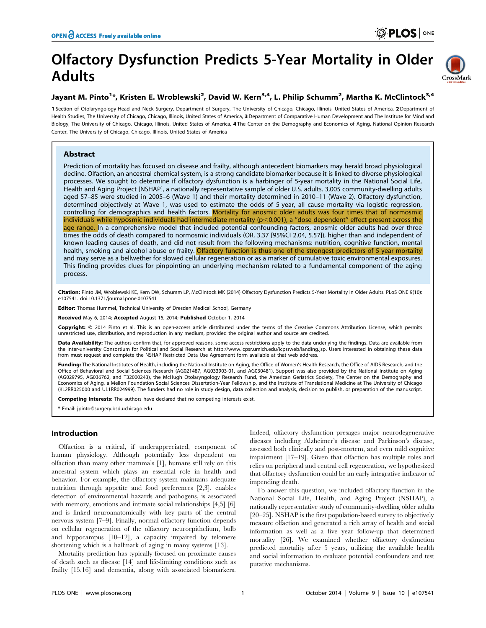# Olfactory Dysfunction Predicts 5-Year Mortality in Older Adults

# Jayant M. Pinto<sup>1</sup>\*, Kristen E. Wroblewski<sup>2</sup>, David W. Kern<sup>3,4</sup>, L. Philip Schumm<sup>2</sup>, Martha K. McClintock<sup>3,4</sup>

1 Section of Otolaryngology-Head and Neck Surgery, Department of Surgery, The University of Chicago, Chicago, Illinois, United States of America, 2 Department of Health Studies, The University of Chicago, Chicago, Illinois, United States of America, 3 Department of Comparative Human Development and The Institute for Mind and Biology, The University of Chicago, Chicago, Illinois, United States of America, 4 The Center on the Demography and Economics of Aging, National Opinion Research Center, The University of Chicago, Chicago, Illinois, United States of America

# Abstract

Prediction of mortality has focused on disease and frailty, although antecedent biomarkers may herald broad physiological decline. Olfaction, an ancestral chemical system, is a strong candidate biomarker because it is linked to diverse physiological processes. We sought to determine if olfactory dysfunction is a harbinger of 5-year mortality in the National Social Life, Health and Aging Project [NSHAP], a nationally representative sample of older U.S. adults. 3,005 community-dwelling adults aged 57–85 were studied in 2005–6 (Wave 1) and their mortality determined in 2010–11 (Wave 2). Olfactory dysfunction, determined objectively at Wave 1, was used to estimate the odds of 5-year, all cause mortality via logistic regression, controlling for demographics and health factors. Mortality for anosmic older adults was four times that of normosmic individuals while hyposmic individuals had intermediate mortality ( $p<0.001$ ), a "dose-dependent" effect present across the age range. In a comprehensive model that included potential confounding factors, anosmic older adults had over three times the odds of death compared to normosmic individuals (OR, 3.37 [95%CI 2.04, 5.57]), higher than and independent of known leading causes of death, and did not result from the following mechanisms: nutrition, cognitive function, mental health, smoking and alcohol abuse or frailty. Olfactory function is thus one of the strongest predictors of 5-year mortality and may serve as a bellwether for slowed cellular regeneration or as a marker of cumulative toxic environmental exposures. This finding provides clues for pinpointing an underlying mechanism related to a fundamental component of the aging process.

Citation: Pinto JM, Wroblewski KE, Kern DW, Schumm LP, McClintock MK (2014) Olfactory Dysfunction Predicts 5-Year Mortality in Older Adults. PLoS ONE 9(10): e107541. doi:10.1371/journal.pone.0107541

Editor: Thomas Hummel, Technical University of Dresden Medical School, Germany

Received May 6, 2014; Accepted August 15, 2014; Published October 1, 2014

Copyright: © 2014 Pinto et al. This is an open-access article distributed under the terms of the Creative Commons Attribution License, which permits unrestricted use, distribution, and reproduction in any medium, provided the original author and source are credited.

Data Availability: The authors confirm that, for approved reasons, some access restrictions apply to the data underlying the findings. Data are available from the Inter-university Consortium for Political and Social Research at http://www.icpsr.umich.edu/icpsrweb/landing.jsp. Users interested in obtaining these data from must request and complete the NSHAP Restricted Data Use Agreement form available at that web address.

Funding: The National Institutes of Health, including the National Institute on Aging, the Office of Women's Health Research, the Office of AIDS Research, and the Office of Behavioral and Social Sciences Research (AG021487, AG033903-01, and AG030481). Support was also provided by the National Institute on Aging (AG029795, AG036762, and T32000243), the McHugh Otolaryngology Research Fund, the American Geriatrics Society, The Center on the Demography and Economics of Aging, a Mellon Foundation Social Sciences Dissertation-Year Fellowship, and the Institute of Translational Medicine at The University of Chicago (KL2RR025000 and UL1RR024999). The funders had no role in study design, data collection and analysis, decision to publish, or preparation of the manuscript.

Competing Interests: The authors have declared that no competing interests exist.

\* Email: jpinto@surgery.bsd.uchicago.edu

# Introduction

Olfaction is a critical, if underappreciated, component of human physiology. Although potentially less dependent on olfaction than many other mammals [1], humans still rely on this ancestral system which plays an essential role in health and behavior. For example, the olfactory system maintains adequate nutrition through appetite and food preferences [2,3], enables detection of environmental hazards and pathogens, is associated with memory, emotions and intimate social relationships [4,5] [6] and is linked neuroanatomically with key parts of the central nervous system [7–9]. Finally, normal olfactory function depends on cellular regeneration of the olfactory neuroepithelium, bulb and hippocampus [10–12], a capacity impaired by telomere shortening which is a hallmark of aging in many systems [13].

Mortality prediction has typically focused on proximate causes of death such as disease [14] and life-limiting conditions such as frailty [15,16] and dementia, along with associated biomarkers. Indeed, olfactory dysfunction presages major neurodegenerative diseases including Alzheimer's disease and Parkinson's disease, assessed both clinically and post-mortem, and even mild cognitive impairment [17–19]. Given that olfaction has multiple roles and relies on peripheral and central cell regeneration, we hypothesized that olfactory dysfunction could be an early integrative indicator of impending death.

To answer this question, we included olfactory function in the National Social Life, Health, and Aging Project (NSHAP), a nationally representative study of community-dwelling older adults [20–25]. NSHAP is the first population-based survey to objectively measure olfaction and generated a rich array of health and social information as well as a five year follow-up that determined mortality [26]. We examined whether olfactory dysfunction predicted mortality after 5 years, utilizing the available health and social information to evaluate potential confounders and test putative mechanisms.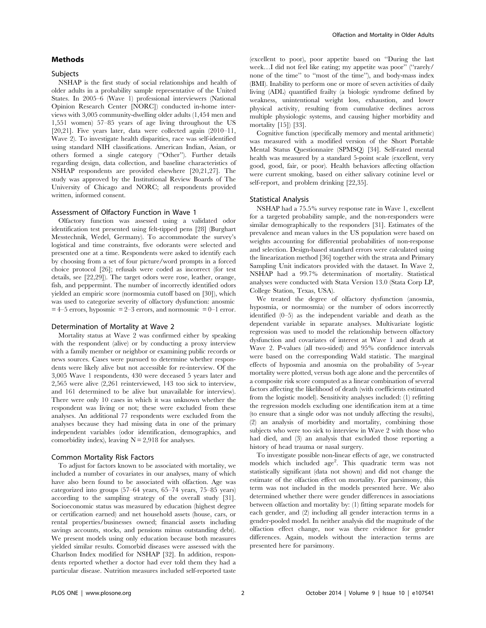# Methods

# Subjects

NSHAP is the first study of social relationships and health of older adults in a probability sample representative of the United States. In 2005–6 (Wave 1) professional interviewers (National Opinion Research Center [NORC]) conducted in-home interviews with 3,005 community-dwelling older adults (1,454 men and 1,551 women) 57–85 years of age living throughout the US [20,21]. Five years later, data were collected again (2010–11, Wave 2). To investigate health disparities, race was self-identified using standard NIH classifications. American Indian, Asian, or others formed a single category (''Other''). Further details regarding design, data collection, and baseline characteristics of NSHAP respondents are provided elsewhere [20,21,27]. The study was approved by the Institutional Review Boards of The University of Chicago and NORC; all respondents provided written, informed consent.

#### Assessment of Olfactory Function in Wave 1

Olfactory function was assessed using a validated odor identification test presented using felt-tipped pens [28] (Burghart Messtechnik, Wedel, Germany). To accommodate the survey's logistical and time constraints, five odorants were selected and presented one at a time. Respondents were asked to identify each by choosing from a set of four picture/word prompts in a forced choice protocol [26]; refusals were coded as incorrect (for test details, see [22,29]). The target odors were rose, leather, orange, fish, and peppermint. The number of incorrectly identified odors yielded an empiric score (normosmia cutoff based on [30]), which was used to categorize severity of olfactory dysfunction: anosmic  $= 4-5$  errors, hyposmic  $= 2-3$  errors, and normosmic  $= 0-1$  error.

#### Determination of Mortality at Wave 2

Mortality status at Wave 2 was confirmed either by speaking with the respondent (alive) or by conducting a proxy interview with a family member or neighbor or examining public records or news sources. Cases were pursued to determine whether respondents were likely alive but not accessible for re-interview. Of the 3,005 Wave 1 respondents, 430 were deceased 5 years later and 2,565 were alive (2,261 reinterviewed, 143 too sick to interview, and 161 determined to be alive but unavailable for interview). There were only 10 cases in which it was unknown whether the respondent was living or not; these were excluded from these analyses. An additional 77 respondents were excluded from the analyses because they had missing data in one of the primary independent variables (odor identification, demographics, and comorbidity index), leaving  $N = 2,918$  for analyses.

#### Common Mortality Risk Factors

To adjust for factors known to be associated with mortality, we included a number of covariates in our analyses, many of which have also been found to be associated with olfaction. Age was categorized into groups (57–64 years, 65–74 years, 75–85 years) according to the sampling strategy of the overall study [31]. Socioeconomic status was measured by education (highest degree or certification earned) and net household assets (house, cars, or rental properties/businesses owned; financial assets including savings accounts, stocks, and pensions minus outstanding debt). We present models using only education because both measures yielded similar results. Comorbid diseases were assessed with the Charlson Index modified for NSHAP [32]. In addition, respondents reported whether a doctor had ever told them they had a particular disease. Nutrition measures included self-reported taste

(excellent to poor), poor appetite based on ''During the last week...I did not feel like eating; my appetite was poor" ("rarely/ none of the time'' to ''most of the time''), and body-mass index (BMI). Inability to perform one or more of seven activities of daily living (ADL) quantified frailty (a biologic syndrome defined by weakness, unintentional weight loss, exhaustion, and lower physical activity, resulting from cumulative declines across multiple physiologic systems, and causing higher morbidity and mortality [15]) [33].

Cognitive function (specifically memory and mental arithmetic) was measured with a modified version of the Short Portable Mental Status Questionnaire (SPMSQ) [34]. Self-rated mental health was measured by a standard 5-point scale (excellent, very good, good, fair, or poor). Health behaviors affecting olfaction were current smoking, based on either salivary cotinine level or self-report, and problem drinking [22,35].

#### Statistical Analysis

NSHAP had a 75.5% survey response rate in Wave 1, excellent for a targeted probability sample, and the non-responders were similar demographically to the responders [31]. Estimates of the prevalence and mean values in the US population were based on weights accounting for differential probabilities of non-response and selection. Design-based standard errors were calculated using the linearization method [36] together with the strata and Primary Sampling Unit indicators provided with the dataset. In Wave 2, NSHAP had a 99.7% determination of mortality. Statistical analyses were conducted with Stata Version 13.0 (Stata Corp LP, College Station, Texas, USA).

We treated the degree of olfactory dysfunction (anosmia, hyposmia, or normosmia) or the number of odors incorrectly identified (0–5) as the independent variable and death as the dependent variable in separate analyses. Multivariate logistic regression was used to model the relationship between olfactory dysfunction and covariates of interest at Wave 1 and death at Wave 2. P-values (all two-sided) and 95% confidence intervals were based on the corresponding Wald statistic. The marginal effects of hyposmia and anosmia on the probability of 5-year mortality were plotted, versus both age alone and the percentiles of a composite risk score computed as a linear combination of several factors affecting the likelihood of death (with coefficients estimated from the logistic model). Sensitivity analyses included: (1) refitting the regression models excluding one identification item at a time (to ensure that a single odor was not unduly affecting the results), (2) an analysis of morbidity and mortality, combining those subjects who were too sick to interview in Wave 2 with those who had died, and (3) an analysis that excluded those reporting a history of head trauma or nasal surgery.

To investigate possible non-linear effects of age, we constructed models which included age<sup>2</sup>. This quadratic term was not statistically significant (data not shown) and did not change the estimate of the olfaction effect on mortality. For parsimony, this term was not included in the models presented here. We also determined whether there were gender differences in associations between olfaction and mortality by: (1) fitting separate models for each gender, and (2) including all gender interaction terms in a gender-pooled model. In neither analysis did the magnitude of the olfaction effect change, nor was there evidence for gender differences. Again, models without the interaction terms are presented here for parsimony.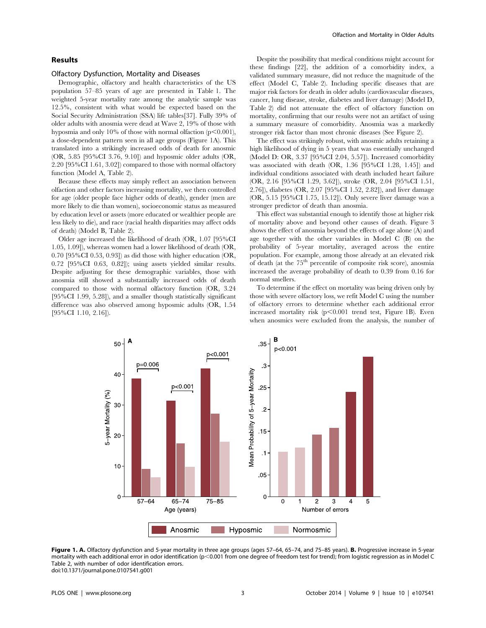# Results

#### Olfactory Dysfunction, Mortality and Diseases

Demographic, olfactory and health characteristics of the US population 57–85 years of age are presented in Table 1. The weighted 5-year mortality rate among the analytic sample was 12.5%, consistent with what would be expected based on the Social Security Administration (SSA) life tables[37]. Fully 39% of older adults with anosmia were dead at Wave 2, 19% of those with hyposmia and only 10% of those with normal olfaction  $(p<0.001)$ , a dose-dependent pattern seen in all age groups (Figure 1A). This translated into a strikingly increased odds of death for anosmic (OR, 5.85 [95%CI 3.76, 9.10]) and hyposmic older adults (OR, 2.20 [95%CI 1.61, 3.02]) compared to those with normal olfactory function (Model A, Table 2).

Because these effects may simply reflect an association between olfaction and other factors increasing mortality, we then controlled for age (older people face higher odds of death), gender (men are more likely to die than women), socioeconomic status as measured by education level or assets (more educated or wealthier people are less likely to die), and race (racial health disparities may affect odds of death) (Model B, Table 2).

Older age increased the likelihood of death (OR, 1.07 [95%CI 1.05, 1.09]), whereas women had a lower likelihood of death (OR, 0.70 [95%CI 0.53, 0.93]) as did those with higher education (OR, 0.72 [95%CI 0.63, 0.82]); using assets yielded similar results. Despite adjusting for these demographic variables, those with anosmia still showed a substantially increased odds of death compared to those with normal olfactory function (OR, 3.24 [95%CI 1.99, 5.28]), and a smaller though statistically significant difference was also observed among hyposmic adults (OR, 1.54 [95%CI 1.10, 2.16]).

Despite the possibility that medical conditions might account for these findings [22], the addition of a comorbidity index, a validated summary measure, did not reduce the magnitude of the effect (Model C, Table 2). Including specific diseases that are major risk factors for death in older adults (cardiovascular diseases, cancer, lung disease, stroke, diabetes and liver damage) (Model D, Table 2) did not attenuate the effect of olfactory function on mortality, confirming that our results were not an artifact of using a summary measure of comorbidity. Anosmia was a markedly stronger risk factor than most chronic diseases (See Figure 2).

The effect was strikingly robust, with anosmic adults retaining a high likelihood of dying in 5 years that was essentially unchanged (Model D: OR, 3.37 [95%CI 2.04, 5.57]). Increased comorbidity was associated with death (OR, 1.36 [95%CI 1.28, 1.45]) and individual conditions associated with death included heart failure (OR, 2.16 [95%CI 1.29, 3.62]), stroke (OR, 2.04 [95%CI 1.51, 2.76]), diabetes (OR, 2.07 [95%CI 1.52, 2.82]), and liver damage (OR, 5.15 [95%CI 1.75, 15.12]). Only severe liver damage was a stronger predictor of death than anosmia.

This effect was substantial enough to identify those at higher risk of mortality above and beyond other causes of death. Figure 3 shows the effect of anosmia beyond the effects of age alone (A) and age together with the other variables in Model C (B) on the probability of 5-year mortality, averaged across the entire population. For example, among those already at an elevated risk of death (at the  $75<sup>th</sup>$  percentile of composite risk score), anosmia increased the average probability of death to 0.39 from 0.16 for normal smellers.

To determine if the effect on mortality was being driven only by those with severe olfactory loss, we refit Model C using the number of olfactory errors to determine whether each additional error increased mortality risk  $(p<0.001$  trend test, Figure 1B). Even when anosmics were excluded from the analysis, the number of



Figure 1. A. Olfactory dysfunction and 5-year mortality in three age groups (ages 57-64, 65-74, and 75-85 years). B. Progressive increase in 5-year mortality with each additional error in odor identification (p<0.001 from one degree of freedom test for trend); from logistic regression as in Model C Table 2, with number of odor identification errors. doi:10.1371/journal.pone.0107541.g001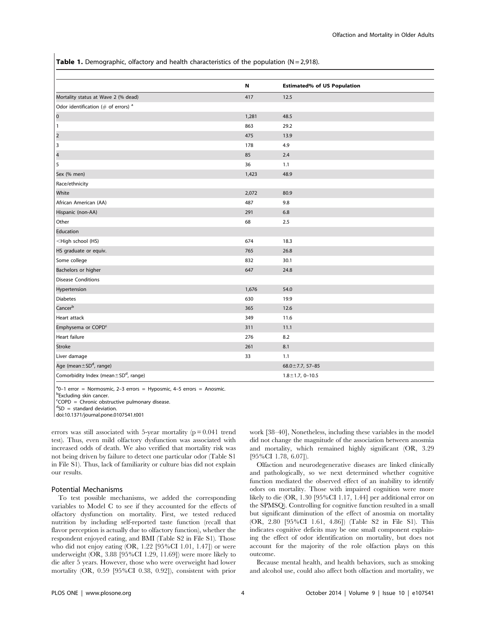Table 1. Demographic, olfactory and health characteristics of the population ( $N = 2,918$ ).

|                                                                 | N     | <b>Estimated% of US Population</b> |
|-----------------------------------------------------------------|-------|------------------------------------|
| Mortality status at Wave 2 (% dead)                             | 417   | 12.5                               |
| Odor identification ( $#$ of errors) <sup>a</sup>               |       |                                    |
| $\overline{0}$                                                  | 1,281 | 48.5                               |
| 1                                                               | 863   | 29.2                               |
| $\overline{2}$                                                  | 475   | 13.9                               |
| I 3                                                             | 178   | 4.9                                |
| $\overline{\mathbf{4}}$                                         | 85    | 2.4                                |
| 5                                                               | 36    | 1.1                                |
| Sex (% men)                                                     | 1,423 | 48.9                               |
| Race/ethnicity                                                  |       |                                    |
| White                                                           | 2,072 | 80.9                               |
| African American (AA)                                           | 487   | 9.8                                |
| Hispanic (non-AA)                                               | 291   | 6.8                                |
| Other                                                           | 68    | 2.5                                |
| Education                                                       |       |                                    |
| <high (hs)<="" school="" td=""><td>674</td><td>18.3</td></high> | 674   | 18.3                               |
| HS graduate or equiv.                                           | 765   | 26.8                               |
| Some college                                                    | 832   | 30.1                               |
| Bachelors or higher                                             | 647   | 24.8                               |
| <b>Disease Conditions</b>                                       |       |                                    |
| Hypertension                                                    | 1,676 | 54.0                               |
| <b>Diabetes</b>                                                 | 630   | 19.9                               |
| Cancer <sup>b</sup>                                             | 365   | 12.6                               |
| Heart attack                                                    | 349   | 11.6                               |
| Emphysema or COPD <sup>c</sup>                                  | 311   | 11.1                               |
| Heart failure                                                   | 276   | 8.2                                |
| Stroke                                                          | 261   | 8.1                                |
| Liver damage                                                    | 33    | 1.1                                |
| Age (mean ± SD <sup>d</sup> , range)                            |       | $68.0 \pm 7.7, 57 - 85$            |
| Comorbidity Index (mean ± SD <sup>d</sup> , range)              |       | $1.8 \pm 1.7, 0 - 10.5$            |

<sup>a</sup>0-1 error = Normosmic, 2-3 errors = Hyposmic, 4-5 errors = Anosmic. **bExcluding skin cancer.** 

c COPD = Chronic obstructive pulmonary disease.

 ${}^{d}SD$  = standard deviation.

doi:10.1371/journal.pone.0107541.t001

errors was still associated with 5-year mortality  $(p = 0.041$  trend test). Thus, even mild olfactory dysfunction was associated with increased odds of death. We also verified that mortality risk was not being driven by failure to detect one particular odor (Table S1 in File S1). Thus, lack of familiarity or culture bias did not explain our results.

#### Potential Mechanisms

To test possible mechanisms, we added the corresponding variables to Model C to see if they accounted for the effects of olfactory dysfunction on mortality. First, we tested reduced nutrition by including self-reported taste function (recall that flavor perception is actually due to olfactory function), whether the respondent enjoyed eating, and BMI (Table S2 in File S1). Those who did not enjoy eating (OR, 1.22 [95%CI 1.01, 1.47]) or were underweight (OR, 3.88 [95%CI 1.29, 11.69]) were more likely to die after 5 years. However, those who were overweight had lower mortality (OR, 0.59 [95%CI 0.38, 0.92]), consistent with prior work [38–40], Nonetheless, including these variables in the model did not change the magnitude of the association between anosmia and mortality, which remained highly significant (OR, 3.29 [95%CI 1.78, 6.07]).

Olfaction and neurodegenerative diseases are linked clinically and pathologically, so we next determined whether cognitive function mediated the observed effect of an inability to identify odors on mortality. Those with impaired cognition were more likely to die (OR, 1.30 [95%CI 1.17, 1.44] per additional error on the SPMSQ). Controlling for cognitive function resulted in a small but significant diminution of the effect of anosmia on mortality (OR, 2.80 [95%CI 1.61, 4.86]) (Table S2 in File S1). This indicates cognitive deficits may be one small component explaining the effect of odor identification on mortality, but does not account for the majority of the role olfaction plays on this outcome.

Because mental health, and health behaviors, such as smoking and alcohol use, could also affect both olfaction and mortality, we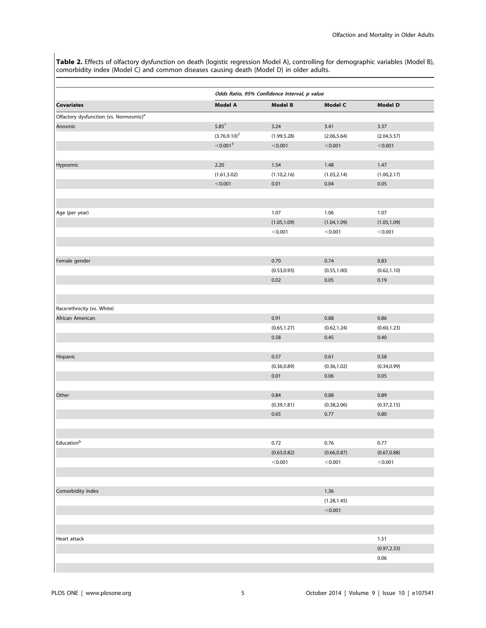Table 2. Effects of olfactory dysfunction on death (logistic regression Model A), controlling for demographic variables (Model B), comorbidity index (Model C) and common diseases causing death (Model D) in older adults.

|                                                    | Odds Ratio, 95% Confidence Interval, p value |              |                |                |  |  |
|----------------------------------------------------|----------------------------------------------|--------------|----------------|----------------|--|--|
| <b>Covariates</b>                                  | Model A                                      | Model B      | Model C        | <b>Model D</b> |  |  |
| Olfactory dysfunction (vs. Normosmic) <sup>a</sup> |                                              |              |                |                |  |  |
| Anosmic                                            | $5.85^1$                                     | 3.24         | 3.41           | 3.37           |  |  |
|                                                    | $(3.76, 9.10)^2$                             | (1.99, 5.28) | (2.06, 5.64)   | (2.04, 5.57)   |  |  |
|                                                    | $<$ 0.001 $^3$                               | < 0.001      | < 0.001        | < 0.001        |  |  |
| Hyposmic                                           | 2.20                                         | 1.54         | 1.48           | 1.47           |  |  |
|                                                    | (1.61, 3.02)                                 | (1.10, 2.16) | (1.03, 2.14)   | (1.00, 2.17)   |  |  |
|                                                    | < 0.001                                      | 0.01         | 0.04           | 0.05           |  |  |
|                                                    |                                              |              |                |                |  |  |
| Age (per year)                                     |                                              | 1.07         | 1.06           | 1.07           |  |  |
|                                                    |                                              | (1.05, 1.09) | (1.04, 1.09)   | (1.05, 1.09)   |  |  |
|                                                    |                                              | < 0.001      | < 0.001        | < 0.001        |  |  |
|                                                    |                                              |              |                |                |  |  |
| Female gender                                      |                                              | 0.70         | 0.74           | 0.83           |  |  |
|                                                    |                                              | (0.53, 0.93) | (0.55, 1.00)   | (0.62, 1.10)   |  |  |
|                                                    |                                              | 0.02         | 0.05           | 0.19           |  |  |
|                                                    |                                              |              |                |                |  |  |
| Race/ethnicity (vs. White)                         |                                              |              |                |                |  |  |
| African American                                   |                                              | 0.91         | 0.88           | 0.86           |  |  |
|                                                    |                                              | (0.65, 1.27) | (0.62, 1.24)   | (0.60, 1.23)   |  |  |
|                                                    |                                              | 0.58         | 0.45           | 0.40           |  |  |
|                                                    |                                              |              |                |                |  |  |
| Hispanic                                           |                                              | 0.57         | 0.61           | 0.58           |  |  |
|                                                    |                                              | (0.36, 0.89) | (0.36, 1.02)   | (0.34, 0.99)   |  |  |
|                                                    |                                              | 0.01         | 0.06           | 0.05           |  |  |
| Other                                              |                                              | 0.84         | 0.88           | 0.89           |  |  |
|                                                    |                                              | (0.39, 1.81) | (0.38, 2.06)   | (0.37, 2.15)   |  |  |
|                                                    |                                              | 0.65         | 0.77           | $0.80\,$       |  |  |
|                                                    |                                              |              |                |                |  |  |
| Educationb                                         |                                              | 0.72         | 0.76           | 0.77           |  |  |
|                                                    |                                              | (0.63, 0.82) | (0.66, 0.87)   | (0.67, 0.88)   |  |  |
|                                                    |                                              | < 0.001      | < 0.001        | < 0.001        |  |  |
|                                                    |                                              |              |                |                |  |  |
| Comorbidity Index                                  |                                              |              | 1.36           |                |  |  |
|                                                    |                                              |              | (1.28, 1.45)   |                |  |  |
|                                                    |                                              |              | $<$ 0.001 $\,$ |                |  |  |
|                                                    |                                              |              |                |                |  |  |
| Heart attack                                       |                                              |              |                | 1.51           |  |  |
|                                                    |                                              |              |                |                |  |  |
|                                                    |                                              |              |                | (0.97, 2.33)   |  |  |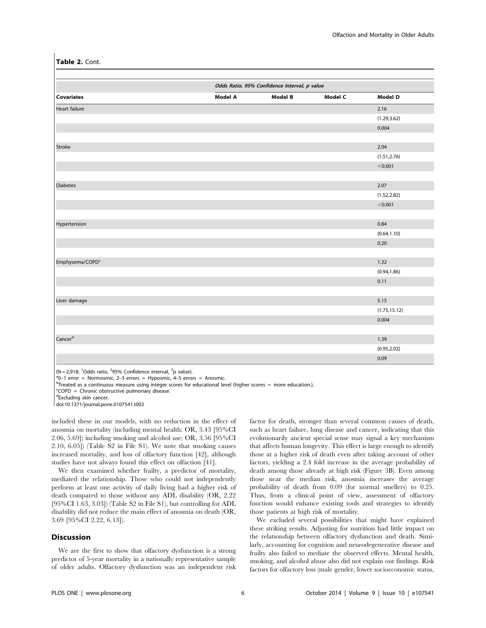Table 2. Cont.

|                             |         | Odds Ratio, 95% Confidence Interval, p value |         |                |  |  |
|-----------------------------|---------|----------------------------------------------|---------|----------------|--|--|
| <b>Covariates</b>           | Model A | <b>Model B</b>                               | Model C | <b>Model D</b> |  |  |
| Heart failure               |         |                                              |         | 2.16           |  |  |
|                             |         |                                              |         | (1.29, 3.62)   |  |  |
|                             |         |                                              |         | 0.004          |  |  |
|                             |         |                                              |         |                |  |  |
| Stroke                      |         |                                              |         | 2.04           |  |  |
|                             |         |                                              |         | (1.51, 2.76)   |  |  |
|                             |         |                                              |         | < 0.001        |  |  |
|                             |         |                                              |         |                |  |  |
| <b>Diabetes</b>             |         |                                              |         | 2.07           |  |  |
|                             |         |                                              |         | (1.52, 2.82)   |  |  |
|                             |         |                                              |         | < 0.001        |  |  |
|                             |         |                                              |         |                |  |  |
| Hypertension                |         |                                              |         | 0.84           |  |  |
|                             |         |                                              |         | (0.64, 1.10)   |  |  |
|                             |         |                                              |         | 0.20           |  |  |
|                             |         |                                              |         |                |  |  |
| Emphysema/COPD <sup>c</sup> |         |                                              |         | 1.32           |  |  |
|                             |         |                                              |         | (0.94, 1.86)   |  |  |
|                             |         |                                              |         | 0.11           |  |  |
|                             |         |                                              |         |                |  |  |
| Liver damage                |         |                                              |         | 5.15           |  |  |
|                             |         |                                              |         | (1.75, 15.12)  |  |  |
|                             |         |                                              |         | 0.004          |  |  |
|                             |         |                                              |         |                |  |  |
| Cancer <sup>d</sup>         |         |                                              |         | 1.39           |  |  |
|                             |         |                                              |         | (0.95, 2.02)   |  |  |
|                             |         |                                              |         | 0.09           |  |  |

(N = 2,918; <sup>1</sup>Odds ratio, <sup>2</sup>95% Confidence interval, <sup>3</sup>p value).<br><sup>a</sup>0-1 error = Normosmic 2-3 errors = Hyposmic 4-5 erro

 $a^0$ 0-1 error = Normosmic, 2-3 errors = Hyposmic, 4-5 errors = Anosmic.

<sup>b</sup>Treated as a continuous measure using integer scores for educational level (higher scores = more education.).

c COPD = Chronic obstructive pulmonary disease.

dExcluding skin cancer.

doi:10.1371/journal.pone.0107541.t002

included these in our models, with no reduction in the effect of anosmia on mortality (including mental health: OR, 3.43 [95%CI 2.06, 5.69]; including smoking and alcohol use: OR, 3.56 [95%CI 2.10, 6.05]) (Table S2 in File S1). We note that smoking causes increased mortality, and loss of olfactory function [42], although studies have not always found this effect on olfaction [41].

We then examined whether frailty, a predictor of mortality, mediated the relationship. Those who could not independently perform at least one activity of daily living had a higher risk of death compared to those without any ADL disability (OR, 2.22 [95%CI 1.63, 3.03]) (Table S2 in File S1), but controlling for ADL disability did not reduce the main effect of anosmia on death (OR, 3.69 [95%CI 2.22, 6.13]).

#### **Discussion**

We are the first to show that olfactory dysfunction is a strong predictor of 5-year mortality in a nationally representative sample of older adults. Olfactory dysfunction was an independent risk factor for death, stronger than several common causes of death, such as heart failure, lung disease and cancer, indicating that this evolutionarily ancient special sense may signal a key mechanism that affects human longevity. This effect is large enough to identify those at a higher risk of death even after taking account of other factors, yielding a 2.4 fold increase in the average probability of death among those already at high risk (Figure 3B). Even among those near the median risk, anosmia increases the average probability of death from 0.09 (for normal smellers) to 0.25. Thus, from a clinical point of view, assessment of olfactory function would enhance existing tools and strategies to identify those patients at high risk of mortality.

We excluded several possibilities that might have explained these striking results. Adjusting for nutrition had little impact on the relationship between olfactory dysfunction and death. Similarly, accounting for cognition and neurodegenerative disease and frailty also failed to mediate the observed effects. Mental health, smoking, and alcohol abuse also did not explain our findings. Risk factors for olfactory loss (male gender, lower socioeconomic status,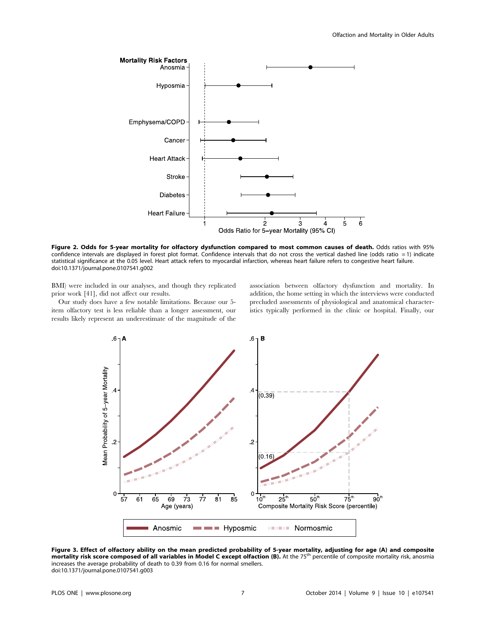

Figure 2. Odds for 5-year mortality for olfactory dysfunction compared to most common causes of death. Odds ratios with 95% confidence intervals are displayed in forest plot format. Confidence intervals that do not cross the vertical dashed line (odds ratio = 1) indicate statistical significance at the 0.05 level. Heart attack refers to myocardial infarction, whereas heart failure refers to congestive heart failure. doi:10.1371/journal.pone.0107541.g002

BMI) were included in our analyses, and though they replicated prior work [41], did not affect our results.

Our study does have a few notable limitations. Because our 5 item olfactory test is less reliable than a longer assessment, our results likely represent an underestimate of the magnitude of the association between olfactory dysfunction and mortality. In addition, the home setting in which the interviews were conducted precluded assessments of physiological and anatomical characteristics typically performed in the clinic or hospital. Finally, our



Figure 3. Effect of olfactory ability on the mean predicted probability of 5-year mortality, adjusting for age (A) and composite mortality risk score composed of all variables in Model C except olfaction (B). At the 75<sup>th</sup> percentile of composite mortality risk, anosmia increases the average probability of death to 0.39 from 0.16 for normal smellers. doi:10.1371/journal.pone.0107541.g003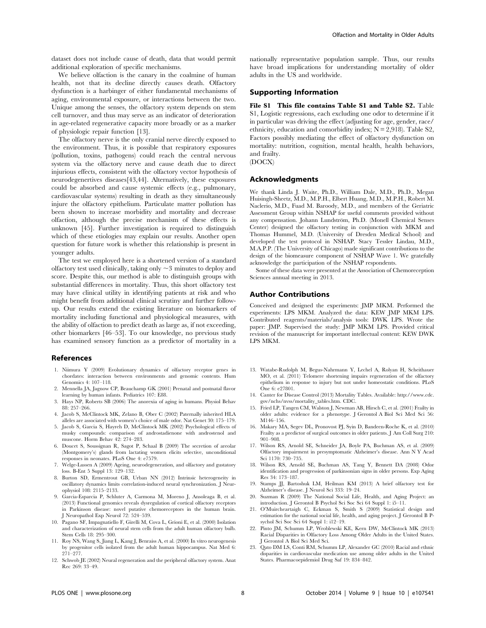dataset does not include cause of death, data that would permit additional exploration of specific mechanisms.

We believe olfaction is the canary in the coalmine of human health, not that its decline directly causes death. Olfactory dysfunction is a harbinger of either fundamental mechanisms of aging, environmental exposure, or interactions between the two. Unique among the senses, the olfactory system depends on stem cell turnover, and thus may serve as an indicator of deterioration in age-related regenerative capacity more broadly or as a marker of physiologic repair function [13].

The olfactory nerve is the only cranial nerve directly exposed to the environment. Thus, it is possible that respiratory exposures (pollution, toxins, pathogens) could reach the central nervous system via the olfactory nerve and cause death due to direct injurious effects, consistent with the olfactory vector hypothesis of neurodegenertives diseases[43,44]. Alternatively, these exposures could be absorbed and cause systemic effects (e.g., pulmonary, cardiovascular systems) resulting in death as they simultaneously injure the olfactory epithelium. Particulate matter pollution has been shown to increase morbidity and mortality and decrease olfaction, although the precise mechanism of these effects is unknown [45]. Further investigation is required to distinguish which of these etiologies may explain our results. Another open question for future work is whether this relationship is present in younger adults.

The test we employed here is a shortened version of a standard olfactory test used clinically, taking only  $\sim$  3 minutes to deploy and score. Despite this, our method is able to distinguish groups with substantial differences in mortality. Thus, this short olfactory test may have clinical utility in identifying patients at risk and who might benefit from additional clinical scrutiny and further followup. Our results extend the existing literature on biomarkers of mortality including functional and physiological measures, with the ability of olfaction to predict death as large as, if not exceeding, other biomarkers [46–53]. To our knowledge, no previous study has examined sensory function as a predictor of mortality in a

# References

- 1. Niimura Y (2009) Evolutionary dynamics of olfactory receptor genes in chordates: interaction between environments and genomic contents. Hum Genomics 4: 107–118.
- 2. Mennella JA, Jagnow CP, Beauchamp GK (2001) Prenatal and postnatal flavor learning by human infants. Pediatrics 107: E88.
- 3. Hays NP, Roberts SB (2006) The anorexia of aging in humans. Physiol Behav 88: 257–266.
- 4. Jacob S, McClintock MK, Zelano B, Ober C (2002) Paternally inherited HLA alleles are associated with women's choice of male odor. Nat Genet 30: 175–179.
- 5. Jacob S, Garcia S, Hayreh D, McClintock MK (2002) Psychological effects of musky compounds: comparison of androstadienone with androstenol and muscone. Horm Behav 42: 274–283.
- 6. Doucet S, Soussignan R, Sagot P, Schaal B (2009) The secretion of areolar (Montgomery's) glands from lactating women elicits selective, unconditional responses in neonates. PLoS One 4: e7579.
- 7. Welge-Lussen A (2009) Ageing, neurodegeneration, and olfactory and gustatory loss. B-Ent 5 Suppl 13: 129–132.
- 8. Burton SD, Ermentrout GB, Urban NN (2012) Intrinsic heterogeneity in oscillatory dynamics limits correlation-induced neural synchronization. J Neurophysiol 108: 2115–2133.
- 9. Garcia-Esparcia P, Schluter A, Carmona M, Moreno J, Ansoleaga B, et al. (2013) Functional genomics reveals dysregulation of cortical olfactory receptors in Parkinson disease: novel putative chemoreceptors in the human brain. J Neuropathol Exp Neurol 72: 524–539.
- 10. Pagano SF, Impagnatiello F, Girelli M, Cova L, Grioni E, et al. (2000) Isolation and characterization of neural stem cells from the adult human olfactory bulb. Stem Cells 18: 295–300.
- 11. Roy NS, Wang S, Jiang L, Kang J, Benraiss A, et al. (2000) In vitro neurogenesis by progenitor cells isolated from the adult human hippocampus. Nat Med 6: 271–277.
- 12. Schwob JE (2002) Neural regeneration and the peripheral olfactory system. Anat Rec 269: 33–49.

nationally representative population sample. Thus, our results have broad implications for understanding mortality of older adults in the US and worldwide.

### Supporting Information

File S1 This file contains Table S1 and Table S2. Table S1, Logistic regressions, each excluding one odor to determine if it in particular was driving the effect (adjusting for age, gender, race/ ethnicity, education and comorbidity index;  $N = 2,918$ ). Table S2, Factors possibly mediating the effect of olfactory dysfunction on mortality: nutrition, cognition, mental health, health behaviors, and frailty.

(DOCX)

#### Acknowledgments

We thank Linda J. Waite, Ph.D., William Dale, M.D., Ph.D., Megan Huisingh-Sheetz, M.D., M.P.H., Elbert Huang, M.D., M.P.H., Robert M. Naclerio, M.D., Fuad M. Baroody, M.D., and members of the Geriatric Assessment Group within NSHAP for useful comments provided without any compensation. Johann Lundström, Ph.D. (Monell Chemical Senses Center) designed the olfactory testing in conjunction with MKM and Thomas Hummel, M.D. (University of Dresden Medical School) and developed the test protocol in NSHAP. Stacy Tessler Lindau, M.D., M.A.P.P. (The University of Chicago) made significant contributions to the design of the biomeasure component of NSHAP Wave 1. We gratefully acknowledge the participation of the NSHAP respondents.

Some of these data were presented at the Association of Chemoreception Sciences annual meeting in 2013.

#### Author Contributions

Conceived and designed the experiments: JMP MKM. Performed the experiments: LPS MKM. Analyzed the data: KEW JMP MKM LPS. Contributed reagents/materials/analysis tools: DWK LPS. Wrote the paper: JMP. Supervised the study: JMP MKM LPS. Provided critical revision of the manuscript for important intellectual content: KEW DWK LPS MKM.

- 13. Watabe-Rudolph M, Begus-Nahrmann Y, Lechel A, Rolyan H, Scheithauer MO, et al. (2011) Telomere shortening impairs regeneration of the olfactory epithelium in response to injury but not under homeostatic conditions. PLoS One 6: e27801.
- 14. Canter for Disease Control (2013) Mortality Tables. Available: http://www.cdc. gov/nchs/nvss/mortality\_tables.htm. CDC.
- 15. Fried LP, Tangen CM, Walston J, Newman AB, Hirsch C, et al. (2001) Frailty in older adults: evidence for a phenotype. J Gerontol A Biol Sci Med Sci 56: M146–156.
- 16. Makary MA, Segev DL, Pronovost PJ, Syin D, Bandeen-Roche K, et al. (2010) Frailty as a predictor of surgical outcomes in older patients. J Am Coll Surg 210: 901–908.
- 17. Wilson RS, Arnold SE, Schneider JA, Boyle PA, Buchman AS, et al. (2009) Olfactory impairment in presymptomatic Alzheimer's disease. Ann N Y Acad Sci 1170: 730–735.
- 18. Wilson RS, Arnold SE, Buchman AS, Tang Y, Bennett DA (2008) Odor identification and progression of parkinsonian signs in older persons. Exp Aging Res 34: 173–187.
- 19. Stamps JJ, Bartoshuk LM, Heilman KM (2013) A brief olfactory test for Alzheimer's disease. J Neurol Sci 333: 19–24.
- 20. Suzman R (2009) The National Social Life, Health, and Aging Project: an introduction. J Gerontol B Psychol Sci Soc Sci 64 Suppl 1: i5–11.
- 21. O'Muircheartaigh C, Eckman S, Smith S (2009) Statistical design and estimation for the national social life, health, and aging project. J Gerontol B Psychol Sci Soc Sci 64 Suppl 1: i12–19.
- 22. Pinto JM, Schumm LP, Wroblewski KE, Kern DW, McClintock MK (2013) Racial Disparities in Olfactory Loss Among Older Adults in the United States. J Gerontol A Biol Sci Med Sci.
- 23. Qato DM LS, Conti RM, Schumm LP, Alexander GC (2010) Racial and ethnic disparities in cardiovascular medication use among older adults in the United States. Pharmacoepidemiol Drug Saf 19: 834–842.